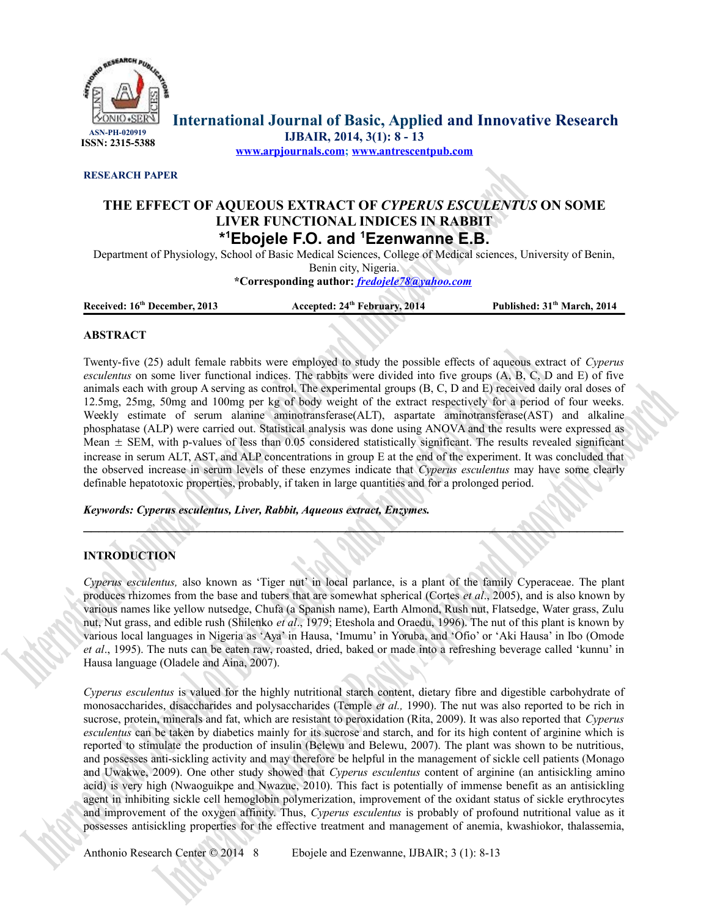

**International Journal of Basic, Applied and Innovative Research IJBAIR, 2014, 3(1): 8 - 13**

**[www.arpjournals.com;](http://www.arpjournals.com/) [www.antrescentpub.com](http://www.antrescentpub.com/)**

**RESEARCH PAPER**

# **THE EFFECT OF AQUEOUS EXTRACT OF** *CYPERUS ESCULENTUS* **ON SOME LIVER FUNCTIONAL INDICES IN RABBIT \* <sup>1</sup>Ebojele F.O. and <sup>1</sup>Ezenwanne E.B.**

Department of Physiology, School of Basic Medical Sciences, College of Medical sciences, University of Benin, Benin city, Nigeria. **\*Corresponding author:** *[fredojele78@yahoo.com](mailto:fredojele78@yahoo.com)*

**Received: 16th December, 2013 Accepted: 24th February, 2014 Published: 31th March, 2014**

# **ABSTRACT**

Twenty-five (25) adult female rabbits were employed to study the possible effects of aqueous extract of *Cyperus esculentus* on some liver functional indices. The rabbits were divided into five groups (A, B, C, D and E) of five animals each with group A serving as control. The experimental groups (B, C, D and E) received daily oral doses of 12.5mg, 25mg, 50mg and 100mg per kg of body weight of the extract respectively for a period of four weeks. Weekly estimate of serum alanine aminotransferase(ALT), aspartate aminotransferase(AST) and alkaline phosphatase (ALP) were carried out. Statistical analysis was done using ANOVA and the results were expressed as Mean  $\pm$  SEM, with p-values of less than 0.05 considered statistically significant. The results revealed significant increase in serum ALT, AST, and ALP concentrations in group E at the end of the experiment. It was concluded that the observed increase in serum levels of these enzymes indicate that *Cyperus esculentus* may have some clearly definable hepatotoxic properties, probably, if taken in large quantities and for a prolonged period.

*Keywords: Cyperus esculentus, Liver, Rabbit, Aqueous extract, Enzymes.*

# **INTRODUCTION**

*Cyperus esculentus,* also known as 'Tiger nut' in local parlance, is a plant of the family Cyperaceae. The plant produces rhizomes from the base and tubers that are somewhat spherical (Cortes *et al*., 2005), and is also known by various names like yellow nutsedge, Chufa (a Spanish name), Earth Almond, Rush nut, Flatsedge, Water grass, Zulu nut, Nut grass, and edible rush (Shilenko *et al*., 1979; Eteshola and Oraedu, 1996). The nut of this plant is known by various local languages in Nigeria as 'Aya' in Hausa, 'Imumu' in Yoruba, and 'Ofio' or 'Aki Hausa' in Ibo (Omode *et al*., 1995). The nuts can be eaten raw, roasted, dried, baked or made into a refreshing beverage called 'kunnu' in Hausa language (Oladele and Aina, 2007).

 $\mathcal{L} \mathcal{L}$  , which is a set of  $\mathcal{L} \mathcal{L}$  , and is a set of  $\mathcal{L} \mathcal{L}$ 

*Cyperus esculentus* is valued for the highly nutritional starch content, dietary fibre and digestible carbohydrate of monosaccharides, disaccharides and polysaccharides (Temple *et al.,* 1990). The nut was also reported to be rich in sucrose, protein, minerals and fat, which are resistant to peroxidation (Rita, 2009). It was also reported that *Cyperus esculentus* can be taken by diabetics mainly for its sucrose and starch, and for its high content of arginine which is reported to stimulate the production of insulin (Belewu and Belewu, 2007). The plant was shown to be nutritious, and possesses anti-sickling activity and may therefore be helpful in the management of sickle cell patients (Monago and Uwakwe, 2009). One other study showed that *Cyperus esculentus* content of arginine (an antisickling amino acid) is very high (Nwaoguikpe and Nwazue, 2010). This fact is potentially of immense benefit as an antisickling agent in inhibiting sickle cell hemoglobin polymerization, improvement of the oxidant status of sickle erythrocytes and improvement of the oxygen affinity. Thus, *Cyperus esculentus* is probably of profound nutritional value as it possesses antisickling properties for the effective treatment and management of anemia, kwashiokor, thalassemia,

Anthonio Research Center © 2014 8 Ebojele and Ezenwanne, IJBAIR; 3 (1): 8-13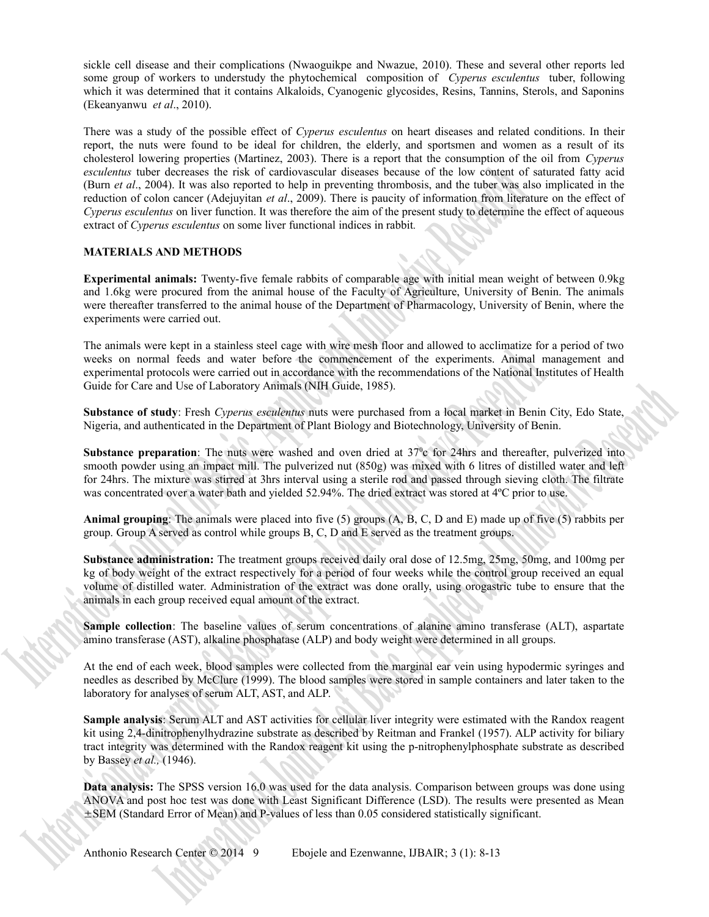sickle cell disease and their complications (Nwaoguikpe and Nwazue, 2010). These and several other reports led some group of workers to understudy the phytochemical composition of *Cyperus esculentus* tuber, following which it was determined that it contains Alkaloids, Cyanogenic glycosides, Resins, Tannins, Sterols, and Saponins (Ekeanyanwu *et al*., 2010).

There was a study of the possible effect of *Cyperus esculentus* on heart diseases and related conditions. In their report, the nuts were found to be ideal for children, the elderly, and sportsmen and women as a result of its cholesterol lowering properties (Martinez, 2003). There is a report that the consumption of the oil from *Cyperus esculentus* tuber decreases the risk of cardiovascular diseases because of the low content of saturated fatty acid (Burn *et al*., 2004). It was also reported to help in preventing thrombosis, and the tuber was also implicated in the reduction of colon cancer (Adejuyitan *et al*., 2009). There is paucity of information from literature on the effect of *Cyperus esculentus* on liver function. It was therefore the aim of the present study to determine the effect of aqueous extract of *Cyperus esculentus* on some liver functional indices in rabbit*.*

# **MATERIALS AND METHODS**

**Experimental animals:** Twenty-five female rabbits of comparable age with initial mean weight of between 0.9kg and 1.6kg were procured from the animal house of the Faculty of Agriculture, University of Benin. The animals were thereafter transferred to the animal house of the Department of Pharmacology, University of Benin, where the experiments were carried out.

The animals were kept in a stainless steel cage with wire mesh floor and allowed to acclimatize for a period of two weeks on normal feeds and water before the commencement of the experiments. Animal management and experimental protocols were carried out in accordance with the recommendations of the National Institutes of Health Guide for Care and Use of Laboratory Animals (NIH Guide, 1985).

**Substance of study**: Fresh *Cyperus esculentus* nuts were purchased from a local market in Benin City, Edo State, Nigeria, and authenticated in the Department of Plant Biology and Biotechnology, University of Benin.

**Substance preparation**: The nuts were washed and oven dried at  $37^\circ$  for 24hrs and thereafter, pulverized into smooth powder using an impact mill. The pulverized nut (850g) was mixed with 6 litres of distilled water and left for 24hrs. The mixture was stirred at 3hrs interval using a sterile rod and passed through sieving cloth. The filtrate was concentrated over a water bath and yielded 52.94%. The dried extract was stored at 4<sup>o</sup>C prior to use.

**Animal grouping**: The animals were placed into five (5) groups (A, B, C, D and E) made up of five (5) rabbits per group. Group A served as control while groups B, C, D and E served as the treatment groups.

**Substance administration:** The treatment groups received daily oral dose of 12.5mg, 25mg, 50mg, and 100mg per kg of body weight of the extract respectively for a period of four weeks while the control group received an equal volume of distilled water. Administration of the extract was done orally, using orogastric tube to ensure that the animals in each group received equal amount of the extract.

**Sample collection**: The baseline values of serum concentrations of alanine amino transferase (ALT), aspartate amino transferase (AST), alkaline phosphatase (ALP) and body weight were determined in all groups.

At the end of each week, blood samples were collected from the marginal ear vein using hypodermic syringes and needles as described by McClure (1999). The blood samples were stored in sample containers and later taken to the laboratory for analyses of serum ALT, AST, and ALP.

**Sample analysis**: Serum ALT and AST activities for cellular liver integrity were estimated with the Randox reagent kit using 2,4-dinitrophenylhydrazine substrate as described by Reitman and Frankel (1957). ALP activity for biliary tract integrity was determined with the Randox reagent kit using the p-nitrophenylphosphate substrate as described by Bassey *et al.,* (1946).

**Data analysis:** The SPSS version 16.0 was used for the data analysis. Comparison between groups was done using ANOVA and post hoc test was done with Least Significant Difference (LSD). The results were presented as Mean SEM (Standard Error of Mean) and P-values of less than 0.05 considered statistically significant.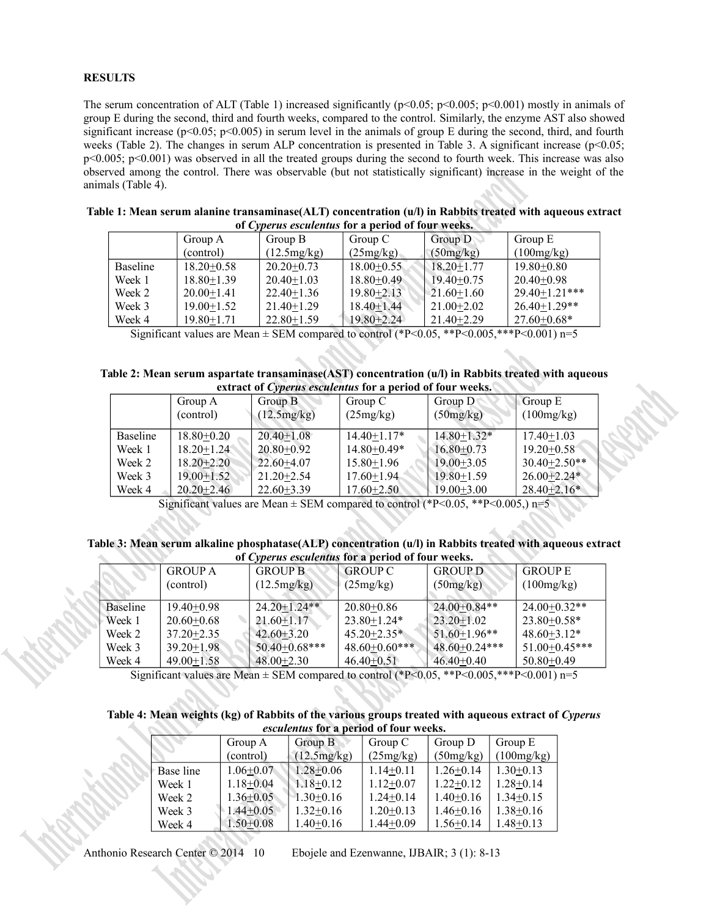# **RESULTS**

The serum concentration of ALT (Table 1) increased significantly ( $p<0.05$ ;  $p<0.005$ ;  $p<0.001$ ) mostly in animals of group E during the second, third and fourth weeks, compared to the control. Similarly, the enzyme AST also showed significant increase ( $p<0.05$ ;  $p<0.005$ ) in serum level in the animals of group E during the second, third, and fourth weeks (Table 2). The changes in serum ALP concentration is presented in Table 3. A significant increase ( $p<0.05$ ; p<0.005; p<0.001) was observed in all the treated groups during the second to fourth week. This increase was also observed among the control. There was observable (but not statistically significant) increase in the weight of the animals (Table 4).

| Table 1: Mean serum alanine transaminase(ALT) concentration (u/l) in Rabbits treated with aqueous extract |                                                   |         |         |         |           |         |  |  |
|-----------------------------------------------------------------------------------------------------------|---------------------------------------------------|---------|---------|---------|-----------|---------|--|--|
|                                                                                                           | of Cyperus esculentus for a period of four weeks. |         |         |         |           |         |  |  |
|                                                                                                           |                                                   | Group A | Group B | Group C | Group $D$ | Group E |  |  |

|                 | Group A        | Group B          | Group C        | Group $D$        | Group E             |
|-----------------|----------------|------------------|----------------|------------------|---------------------|
|                 | (control)      | (12.5mg/kg)      | (25mg/kg)      | (50mg/kg)        | (100mg/kg)          |
| <b>Baseline</b> | $18.20 + 0.58$ | $20.20 + 0.73$   | $18.00+0.55$   | $18.20 + 1.77$   | $19.80 + 0.80$      |
| Week 1          | $18.80 + 1.39$ | $20.40 + 1.03$   | $18.80 + 0.49$ | $19.40 + 0.75$   | $20.40 + 0.98$      |
| Week 2          | $20.00+1.41$   | $22.40 + 1.36$   | $19.80 + 2.13$ | $21.60 \pm 1.60$ | $29.40 + 1.21***$   |
| Week 3          | $19.00+1.52$   | $21.40 + 1.29$   | $18.40 + 1.44$ | $21.00 + 2.02$   | $26.40 \pm 1.29$ ** |
| Week 4          | $19.80 + 1.71$ | $22.80 \pm 1.59$ | $19.80 + 2.24$ | $21.40 + 2.29$   | $27.60 \pm 0.68*$   |

Significant values are Mean  $\pm$  SEM compared to control (\*P<0.05, \*\*P<0.005, \*\*\*P<0.001) n=5

# **Table 2: Mean serum aspartate transaminase(AST) concentration (u/l) in Rabbits treated with aqueous extract of** *Cyperus esculentus* **for a period of four weeks.**

| extract of <i>cyperns</i> coements for a perfour of four weeks. |                |                |                   |                  |                   |
|-----------------------------------------------------------------|----------------|----------------|-------------------|------------------|-------------------|
|                                                                 | Group A        | Group B        | Group C           | Group D          | Group E           |
|                                                                 | (control)      | (12.5mg/kg)    | (25mg/kg)         | (50mg/kg)        | (100mg/kg)        |
|                                                                 |                |                |                   |                  |                   |
| Baseline                                                        | $18.80 + 0.20$ | $20.40 + 1.08$ | $14.40 \pm 1.17*$ | $14.80 + 1.32*$  | $17.40 + 1.03$    |
| Week 1                                                          | $18.20 + 1.24$ | $20.80 + 0.92$ | $14.80 + 0.49*$   | $16.80 + 0.73$   | $19.20 + 0.58$    |
| Week 2                                                          | $18.20 + 2.20$ | $22.60 + 4.07$ | $15.80 \pm 1.96$  | $19.00 + 3.05$   | $30.40 + 2.50**$  |
| Week 3                                                          | $19.00 + 1.52$ | $21.20 + 2.54$ | $17.60 \pm 1.94$  | $19.80 \pm 1.59$ | $26.00 + 2.24*$   |
| Week 4                                                          | $20.20 + 2.46$ | $22.60 + 3.39$ | $17.60 \pm 2.50$  | $19.00 \pm 3.00$ | $28.40 \pm 2.16*$ |

Significant values are Mean  $\pm$  SEM compared to control (\*P<0.05, \*\*P<0.005,) n=5

#### **Table 3: Mean serum alkaline phosphatase(ALP) concentration (u/l) in Rabbits treated with aqueous extract of** *Cyperus esculentus* **for a period of four weeks.**

| $0.2.2.77$ and $0.3.77$ and $0.3.77$ and $0.3.77$ |                  |                      |                  |                      |                    |
|---------------------------------------------------|------------------|----------------------|------------------|----------------------|--------------------|
|                                                   | <b>GROUP A</b>   | <b>GROUP B</b>       | <b>GROUP C</b>   | <b>GROUP D</b>       | <b>GROUP E</b>     |
|                                                   | (control)        | (12.5mg/kg)          | (25mg/kg)        | (50mg/kg)            | (100mg/kg)         |
|                                                   |                  |                      |                  |                      |                    |
| <b>Baseline</b>                                   | $19.40 + 0.98$   | $24.20 \pm 1.24$ **  | $20.80 \pm 0.86$ | $24.00+0.84**$       | $24.00 \pm 0.32**$ |
| Week 1                                            | $20.60 \pm 0.68$ | $21.60 \pm 1.17$     | $23.80 + 1.24*$  | $23.20 \pm 1.02$     | $23.80 + 0.58*$    |
| Week 2                                            | $37.20 + 2.35$   | $42.60 + 3.20$       | $45.20 + 2.35*$  | $51.60 + 1.96$ **    | $48.60 + 3.12*$    |
| Week 3                                            | $39.20 + 1.98$   | $50.40 \pm 0.68$ *** | $48.60+0.60***$  | $48.60 \pm 0.24$ *** | 51.00+0.45***      |
| Week 4                                            | $49.00 \pm 1.58$ | $48.00 + 2.30$       | $46.40+0.51$     | $46.40 \pm 0.40$     | $50.80 \pm 0.49$   |

Significant values are Mean  $\pm$  SEM compared to control (\*P<0.05, \*\*P<0.005, \*\*\*P<0.001) n=5

#### **Table 4: Mean weights (kg) of Rabbits of the various groups treated with aqueous extract of** *Cyperus esculentus* **for a period of four weeks.**

| Cochichino Ivi a Defivu vi Ivul "Veenoi |                 |                 |               |                 |                 |  |
|-----------------------------------------|-----------------|-----------------|---------------|-----------------|-----------------|--|
|                                         | Group A         | Group B         | Group C       | Group D         | Group $E$       |  |
|                                         | (control)       | (12.5mg/kg)     | (25mg/kg)     | (50mg/kg)       | (100mg/kg)      |  |
| <b>Base line</b>                        | $1.06 + 0.07$   | $1.28 + 0.06$   | $1.14 + 0.11$ | $1.26 + 0.14$   | $1.30 \pm 0.13$ |  |
| Week 1                                  | $1.18 + 0.04$   | $1.18 + 0.12$   | $1.12 + 0.07$ | $1.22 + 0.12$   | $1.28 \pm 0.14$ |  |
| Week 2                                  | $1.36 \pm 0.05$ | $-1.30+0.16$    | $1.24 + 0.14$ | $1.40+0.16$     | $1.34 + 0.15$   |  |
| Week 3                                  | $1.44 + 0.05$   | $1.32+0.16$     | $1.20+0.13$   | $1.46 + 0.16$   | $1.38 + 0.16$   |  |
| Week 4                                  | $1.50 + 0.08$   | $1.40 \pm 0.16$ | $1.44 + 0.09$ | $1.56 \pm 0.14$ | $1.48 + 0.13$   |  |

Anthonio Research Center © 2014 10 Ebojele and Ezenwanne, IJBAIR; 3 (1): 8-13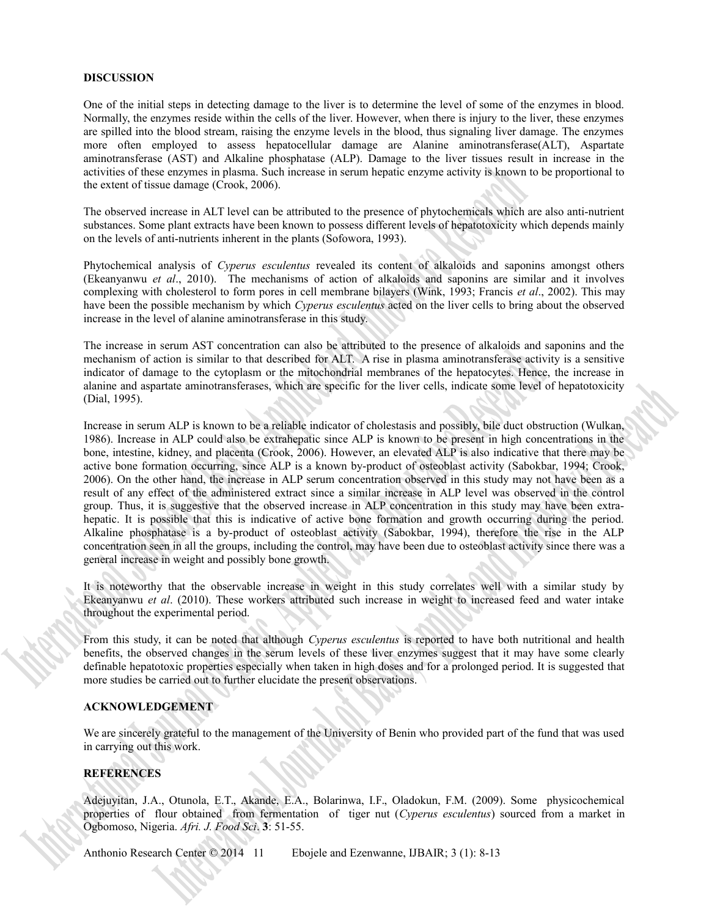# **DISCUSSION**

One of the initial steps in detecting damage to the liver is to determine the level of some of the enzymes in blood. Normally, the enzymes reside within the cells of the liver. However, when there is injury to the liver, these enzymes are spilled into the blood stream, raising the enzyme levels in the blood, thus signaling liver damage. The enzymes more often employed to assess hepatocellular damage are Alanine aminotransferase(ALT), Aspartate aminotransferase (AST) and Alkaline phosphatase (ALP). Damage to the liver tissues result in increase in the activities of these enzymes in plasma. Such increase in serum hepatic enzyme activity is known to be proportional to the extent of tissue damage (Crook, 2006).

The observed increase in ALT level can be attributed to the presence of phytochemicals which are also anti-nutrient substances. Some plant extracts have been known to possess different levels of hepatotoxicity which depends mainly on the levels of anti-nutrients inherent in the plants (Sofowora, 1993).

Phytochemical analysis of *Cyperus esculentus* revealed its content of alkaloids and saponins amongst others (Ekeanyanwu *et al*., 2010). The mechanisms of action of alkaloids and saponins are similar and it involves complexing with cholesterol to form pores in cell membrane bilayers (Wink, 1993; Francis *et al*., 2002). This may have been the possible mechanism by which *Cyperus esculentus* acted on the liver cells to bring about the observed increase in the level of alanine aminotransferase in this study.

The increase in serum AST concentration can also be attributed to the presence of alkaloids and saponins and the mechanism of action is similar to that described for ALT. A rise in plasma aminotransferase activity is a sensitive indicator of damage to the cytoplasm or the mitochondrial membranes of the hepatocytes. Hence, the increase in alanine and aspartate aminotransferases, which are specific for the liver cells, indicate some level of hepatotoxicity (Dial, 1995).

Increase in serum ALP is known to be a reliable indicator of cholestasis and possibly, bile duct obstruction (Wulkan, 1986). Increase in ALP could also be extrahepatic since ALP is known to be present in high concentrations in the bone, intestine, kidney, and placenta (Crook, 2006). However, an elevated ALP is also indicative that there may be active bone formation occurring, since ALP is a known by-product of osteoblast activity (Sabokbar, 1994; Crook, 2006). On the other hand, the increase in ALP serum concentration observed in this study may not have been as a result of any effect of the administered extract since a similar increase in ALP level was observed in the control group. Thus, it is suggestive that the observed increase in ALP concentration in this study may have been extrahepatic. It is possible that this is indicative of active bone formation and growth occurring during the period. Alkaline phosphatase is a by-product of osteoblast activity (Sabokbar, 1994), therefore the rise in the ALP concentration seen in all the groups, including the control, may have been due to osteoblast activity since there was a general increase in weight and possibly bone growth.

It is noteworthy that the observable increase in weight in this study correlates well with a similar study by Ekeanyanwu *et al*. (2010). These workers attributed such increase in weight to increased feed and water intake throughout the experimental period.

From this study, it can be noted that although *Cyperus esculentus* is reported to have both nutritional and health benefits, the observed changes in the serum levels of these liver enzymes suggest that it may have some clearly definable hepatotoxic properties especially when taken in high doses and for a prolonged period. It is suggested that more studies be carried out to further elucidate the present observations.

# **ACKNOWLEDGEMENT**

We are sincerely grateful to the management of the University of Benin who provided part of the fund that was used in carrying out this work.

# **REFERENCES**

Adejuyitan, J.A., Otunola, E.T., Akande, E.A., Bolarinwa, I.F., Oladokun, F.M. (2009). Some physicochemical properties of flour obtained from fermentation of tiger nut (*Cyperus esculentus*) sourced from a market in Ogbomoso, Nigeria. *Afri. J. Food Sci*. **3**: 51-55.

Anthonio Research Center © 2014 11 Ebojele and Ezenwanne, IJBAIR; 3 (1): 8-13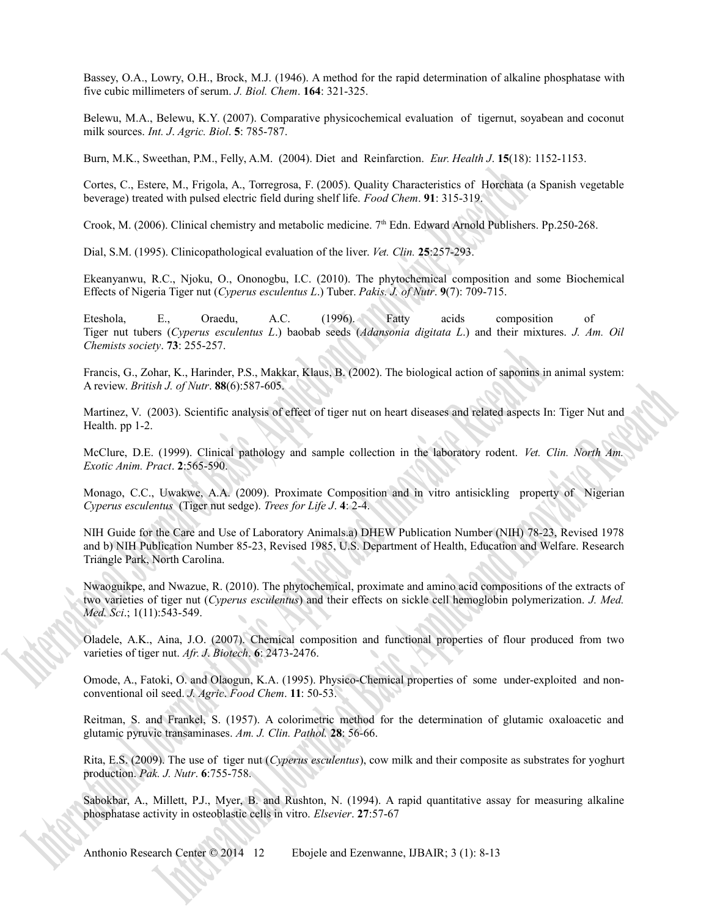Bassey, O.A., Lowry, O.H., Brock, M.J. (1946). A method for the rapid determination of alkaline phosphatase with five cubic millimeters of serum. *J. Biol. Chem*. **164**: 321-325.

Belewu, M.A., Belewu, K.Y. (2007). Comparative physicochemical evaluation of tigernut, soyabean and coconut milk sources. *Int. J*. *Agric. Biol*. **5**: 785-787.

Burn, M.K., Sweethan, P.M., Felly, A.M. (2004). Diet and Reinfarction. *Eur. Health J*. **15**(18): 1152-1153.

Cortes, C., Estere, M., Frigola, A., Torregrosa, F. (2005). Quality Characteristics of Horchata (a Spanish vegetable beverage) treated with pulsed electric field during shelf life. *Food Chem*. **91**: 315-319.

Crook, M. (2006). Clinical chemistry and metabolic medicine. 7<sup>th</sup> Edn. Edward Arnold Publishers. Pp.250-268.

Dial, S.M. (1995). Clinicopathological evaluation of the liver. *Vet. Clin.* **25**:257-293.

Ekeanyanwu, R.C., Njoku, O., Ononogbu, I.C. (2010). The phytochemical composition and some Biochemical Effects of Nigeria Tiger nut (*Cyperus esculentus L*.) Tuber. *Pakis. J. of Nutr*. **9**(7): 709-715.

Eteshola, E., Oraedu, A.C. (1996). Fatty acids composition of Tiger nut tubers (*Cyperus esculentus L*.) baobab seeds (*Adansonia digitata L*.) and their mixtures. *J. Am. Oil Chemists society*. **73**: 255-257.

Francis, G., Zohar, K., Harinder, P.S., Makkar, Klaus, B. (2002). The biological action of saponins in animal system: A review. *British J. of Nutr*. **88**(6):587-605.

Martinez, V. (2003). Scientific analysis of effect of tiger nut on heart diseases and related aspects In: Tiger Nut and Health. pp 1-2.

McClure, D.E. (1999). Clinical pathology and sample collection in the laboratory rodent. *Vet. Clin. North Am. Exotic Anim. Pract*. **2**:565-590.

Monago, C.C., Uwakwe, A.A. (2009). Proximate Composition and in vitro antisickling property of Nigerian *Cyperus esculentus* (Tiger nut sedge). *Trees for Life J*. **4**: 2-4.

NIH Guide for the Care and Use of Laboratory Animals.a) DHEW Publication Number (NIH) 78-23, Revised 1978 and b) NIH Publication Number 85-23, Revised 1985, U.S. Department of Health, Education and Welfare. Research Triangle Park, North Carolina.

Nwaoguikpe, and Nwazue, R. (2010). The phytochemical, proximate and amino acid compositions of the extracts of two varieties of tiger nut (*Cyperus esculentus*) and their effects on sickle cell hemoglobin polymerization. *J. Med. Med. Sci*.; 1(11):543-549.

Oladele, A.K., Aina, J.O. (2007). Chemical composition and functional properties of flour produced from two varieties of tiger nut. *Afr. J*. *Biotech*. **6**: 2473-2476.

Omode, A., Fatoki, O. and Olaogun, K.A. (1995). Physico-Chemical properties of some under-exploited and nonconventional oil seed. *J. Agric*. *Food Chem*. **11**: 50-53.

Reitman, S. and Frankel, S. (1957). A colorimetric method for the determination of glutamic oxaloacetic and glutamic pyruvic transaminases. *Am. J. Clin. Pathol.* **28**: 56-66.

Rita, E.S. (2009). The use of tiger nut (*Cyperus esculentus*), cow milk and their composite as substrates for yoghurt production. *Pak. J. Nutr*. **6**:755-758.

Sabokbar, A., Millett, P.J., Myer, B. and Rushton, N. (1994). A rapid quantitative assay for measuring alkaline phosphatase activity in osteoblastic cells in vitro. *Elsevier*. **27**:57-67